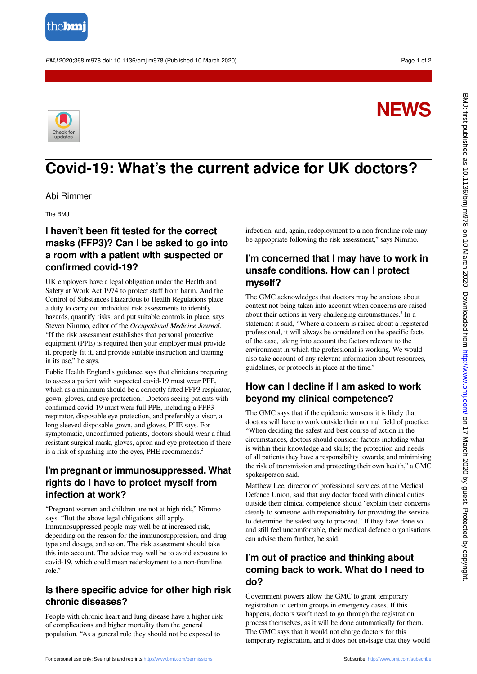

BMJ 2020;368:m978 doi: 10.1136/bmj.m978 (Published 10 March 2020) Page 1 of 2

# **NEWS**



## **Covid-19: What's the current advice for UK doctors?**

Abi Rimmer

The BMJ

#### **I haven't been fit tested for the correct masks (FFP3)? Can I be asked to go into a room with a patient with suspected or confirmed covid-19?**

UK employers have a legal obligation under the Health and Safety at Work Act 1974 to protect staff from harm. And the Control of Substances Hazardous to Health Regulations place a duty to carry out individual risk assessments to identify hazards, quantify risks, and put suitable controls in place, says Steven Nimmo, editor of the *Occupational Medicine Journal*. "If the risk assessment establishes that personal protective equipment (PPE) is required then your employer must provide it, properly fit it, and provide suitable instruction and training in its use," he says.

Public Health England's guidance says that clinicians preparing to assess a patient with suspected covid-19 must wear PPE, which as a minimum should be a correctly fitted FFP3 respirator, gown, gloves, and eye protection.<sup>1</sup> Doctors seeing patients with confirmed covid-19 must wear full PPE, including a FFP3 respirator, disposable eye protection, and preferably a visor, a long sleeved disposable gown, and gloves, PHE says. For symptomatic, unconfirmed patients, doctors should wear a fluid resistant surgical mask, gloves, apron and eye protection if there is a risk of splashing into the eyes, PHE recommends.<sup>2</sup>

#### **I'm pregnant or immunosuppressed. What rights do I have to protect myself from infection at work?**

"Pregnant women and children are not at high risk," Nimmo says. "But the above legal obligations still apply. Immunosuppressed people may well be at increased risk, depending on the reason for the immunosuppression, and drug type and dosage, and so on. The risk assessment should take this into account. The advice may well be to avoid exposure to covid-19, which could mean redeployment to a non-frontline role."

#### **Is there specific advice for other high risk chronic diseases?**

People with chronic heart and lung disease have a higher risk of complications and higher mortality than the general population. "As a general rule they should not be exposed to

infection, and, again, redeployment to a non-frontline role may be appropriate following the risk assessment," says Nimmo.

#### **I'm concerned that I may have to work in unsafe conditions. How can I protect myself?**

The GMC acknowledges that doctors may be anxious about context not being taken into account when concerns are raised about their actions in very challenging circumstances.<sup>3</sup> In a statement it said, "Where a concern is raised about a registered professional, it will always be considered on the specific facts of the case, taking into account the factors relevant to the environment in which the professional is working. We would also take account of any relevant information about resources, guidelines, or protocols in place at the time."

#### **How can I decline if I am asked to work beyond my clinical competence?**

The GMC says that if the epidemic worsens it is likely that doctors will have to work outside their normal field of practice. "When deciding the safest and best course of action in the circumstances, doctors should consider factors including what is within their knowledge and skills; the protection and needs of all patients they have a responsibility towards; and minimising the risk of transmission and protecting their own health," a GMC spokesperson said.

Matthew Lee, director of professional services at the Medical Defence Union, said that any doctor faced with clinical duties outside their clinical competence should "explain their concerns clearly to someone with responsibility for providing the service to determine the safest way to proceed." If they have done so and still feel uncomfortable, their medical defence organisations can advise them further, he said.

#### **I'm out of practice and thinking about coming back to work. What do I need to do?**

Government powers allow the GMC to grant temporary registration to certain groups in emergency cases. If this happens, doctors won't need to go through the registration process themselves, as it will be done automatically for them. The GMC says that it would not charge doctors for this temporary registration, and it does not envisage that they would